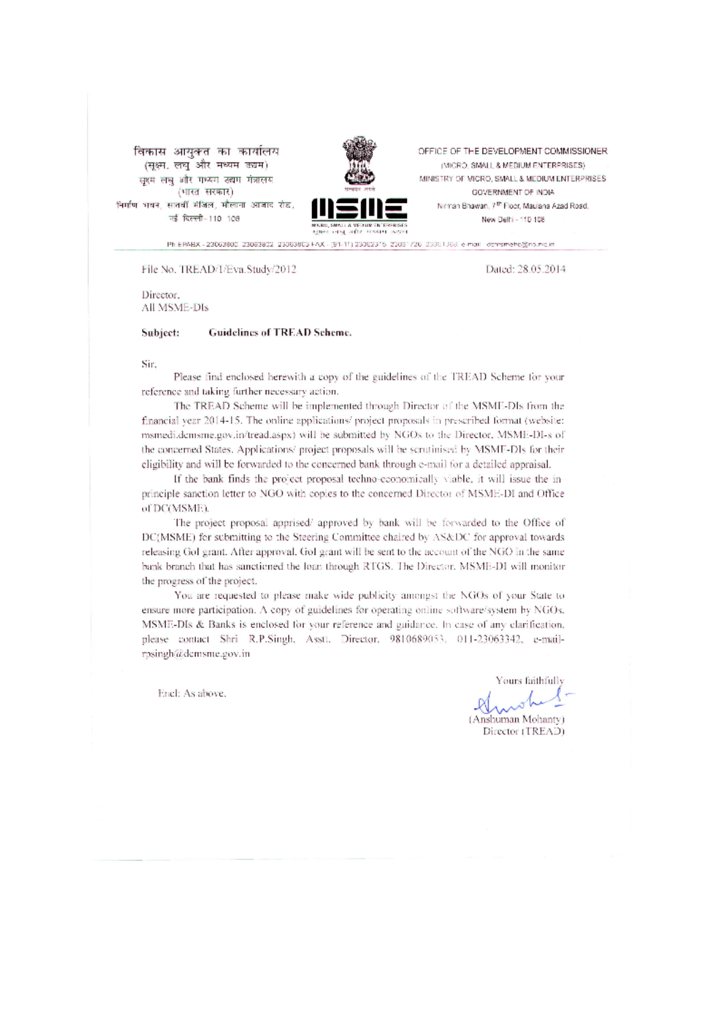विकास आयुक्त का कार्यालय (सूक्ष्म, लघु और मध्यम उद्यम) सुश्म लघु और मध्यम उद्यम मंत्रालय (भारत सरकार) निर्माण भवन, सातवीं मंजिल, मौलाना आजाद रोड, नई दिल्ली-110 108



OFFICE OF THE DEVELOPMENT COMMISSIONER. (MICRO, SMALL & MEDIUM ENTERPRISES) MINISTRY OF MICRO, SMALL & MEDIUM ENTERPRISES GOVERNMENT OF INDIA Nirman Bhawan, 7th Floor, Maulana Azad Road, New Delhi - 110 108

Ph EPABX - 23063800, 23063802, 23063803 FAX - (91-11) 23062315, 23061726, 23061068, e-mail - demameho@no.nic.in

File No. TREAD/1/Eva.Study/2012

Dated: 28.05.2014

Director. All MSME-DIs

Guidelines of TREAD Scheme. Subject:

Sir,

Please find enclosed herewith a copy of the guidelines of the TREAD Scheme for your reference and taking further necessary action.

The TREAD Scheme will be implemented through Director of the MSME-DIs from the financial year 2014-15. The online applications/ project proposals in prescribed format (website: msmedi.demsme.gov.in/tread.aspx) will be submitted by NGOs to the Director, MSME-DI-s of the concerned States. Applications' project proposals will be scrutinised by MSMF-DIs for their eligibility and will be forwarded to the concerned bank through e-mail for a detailed appraisal.

If the bank finds the project proposal techno-economically viable, it will issue the inprinciple sanction letter to NGO with copies to the concerned Director of MSME-DI and Office of DC(MSME).

The project proposal apprised/ approved by bank will be forwarded to the Office of DC(MSME) for submitting to the Steering Committee chaired by AS&DC for approval towards releasing Gol grant. After approval, Gol grant will be sent to the account of the NGO in the same bank branch that has sanctioned the loan through RTGS. The Director, MSME-DI will monitor the progress of the project.

You are requested to please make wide publicity amongst the NGOs of your State to ensure more participation. A copy of guidelines for operating online software/system by NGOs. MSME-DIs & Banks is enclosed for your reference and guidance. In case of any elarification, please contact Shri R.P.Singh, Assti. Director, 9810689053, 011-23063342, e-mailrpsingh@demsme.gov.in

Encl: As above.

Yours faithfull: (Anshuman Mohanty) Director (TREAD)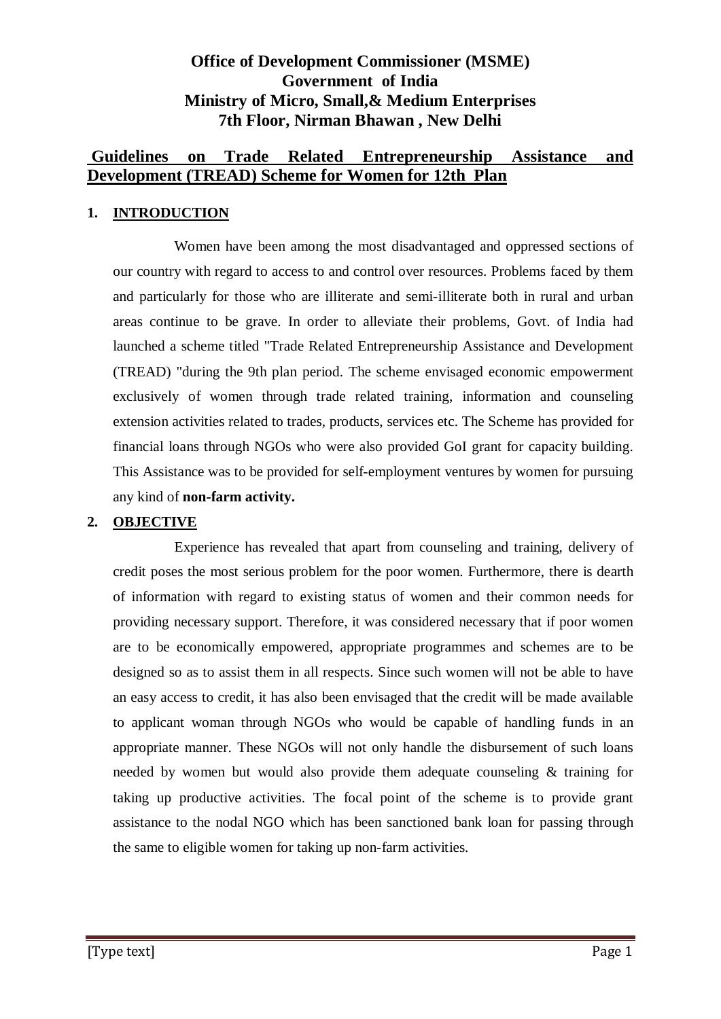# **Office of Development Commissioner (MSME) Government of India Ministry of Micro, Small,& Medium Enterprises 7th Floor, Nirman Bhawan , New Delhi**

# **Guidelines on Trade Related Entrepreneurship Assistance and Development (TREAD) Scheme for Women for 12th Plan**

## **1. INTRODUCTION**

Women have been among the most disadvantaged and oppressed sections of our country with regard to access to and control over resources. Problems faced by them and particularly for those who are illiterate and semi-illiterate both in rural and urban areas continue to be grave. In order to alleviate their problems, Govt. of India had launched a scheme titled "Trade Related Entrepreneurship Assistance and Development (TREAD) "during the 9th plan period. The scheme envisaged economic empowerment exclusively of women through trade related training, information and counseling extension activities related to trades, products, services etc. The Scheme has provided for financial loans through NGOs who were also provided GoI grant for capacity building. This Assistance was to be provided for self-employment ventures by women for pursuing any kind of **non-farm activity.** 

#### **2. OBJECTIVE**

Experience has revealed that apart from counseling and training, delivery of credit poses the most serious problem for the poor women. Furthermore, there is dearth of information with regard to existing status of women and their common needs for providing necessary support. Therefore, it was considered necessary that if poor women are to be economically empowered, appropriate programmes and schemes are to be designed so as to assist them in all respects. Since such women will not be able to have an easy access to credit, it has also been envisaged that the credit will be made available to applicant woman through NGOs who would be capable of handling funds in an appropriate manner. These NGOs will not only handle the disbursement of such loans needed by women but would also provide them adequate counseling & training for taking up productive activities. The focal point of the scheme is to provide grant assistance to the nodal NGO which has been sanctioned bank loan for passing through the same to eligible women for taking up non-farm activities.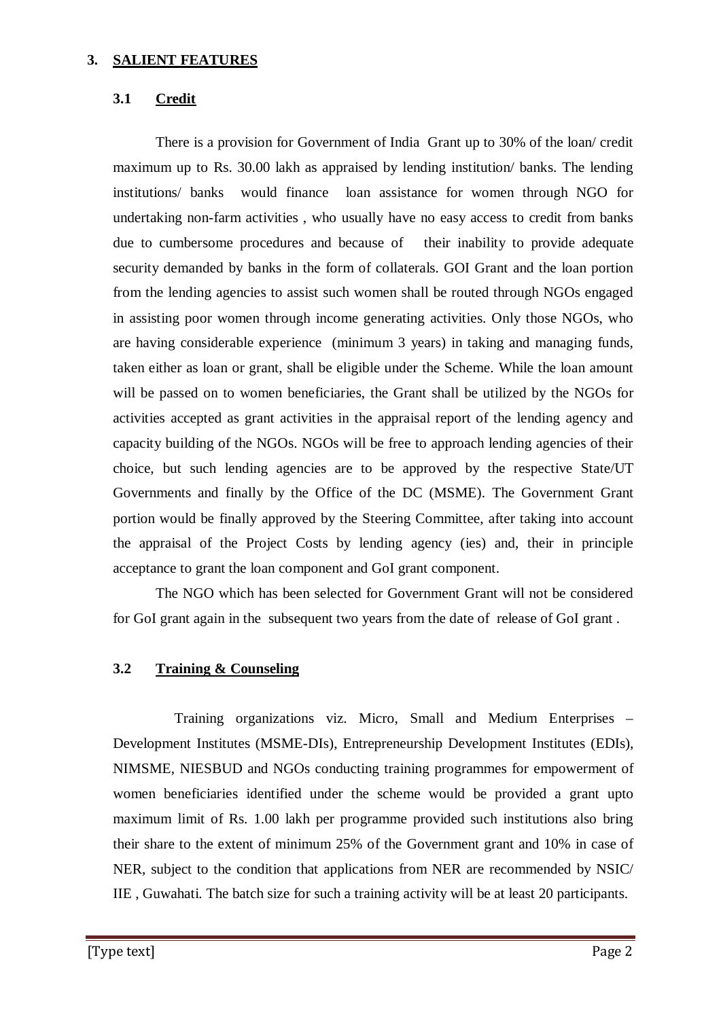#### **3. SALIENT FEATURES**

## **3.1 Credit**

There is a provision for Government of India Grant up to 30% of the loan/ credit maximum up to Rs. 30.00 lakh as appraised by lending institution/ banks. The lending institutions/ banks would finance loan assistance for women through NGO for undertaking non-farm activities , who usually have no easy access to credit from banks due to cumbersome procedures and because of their inability to provide adequate security demanded by banks in the form of collaterals. GOI Grant and the loan portion from the lending agencies to assist such women shall be routed through NGOs engaged in assisting poor women through income generating activities. Only those NGOs, who are having considerable experience (minimum 3 years) in taking and managing funds, taken either as loan or grant, shall be eligible under the Scheme. While the loan amount will be passed on to women beneficiaries, the Grant shall be utilized by the NGOs for activities accepted as grant activities in the appraisal report of the lending agency and capacity building of the NGOs. NGOs will be free to approach lending agencies of their choice, but such lending agencies are to be approved by the respective State/UT Governments and finally by the Office of the DC (MSME). The Government Grant portion would be finally approved by the Steering Committee, after taking into account the appraisal of the Project Costs by lending agency (ies) and, their in principle acceptance to grant the loan component and GoI grant component.

The NGO which has been selected for Government Grant will not be considered for GoI grant again in the subsequent two years from the date of release of GoI grant .

#### **3.2 Training & Counseling**

Training organizations viz. Micro, Small and Medium Enterprises – Development Institutes (MSME-DIs), Entrepreneurship Development Institutes (EDIs), NIMSME, NIESBUD and NGOs conducting training programmes for empowerment of women beneficiaries identified under the scheme would be provided a grant upto maximum limit of Rs. 1.00 lakh per programme provided such institutions also bring their share to the extent of minimum 25% of the Government grant and 10% in case of NER, subject to the condition that applications from NER are recommended by NSIC/ IIE , Guwahati. The batch size for such a training activity will be at least 20 participants.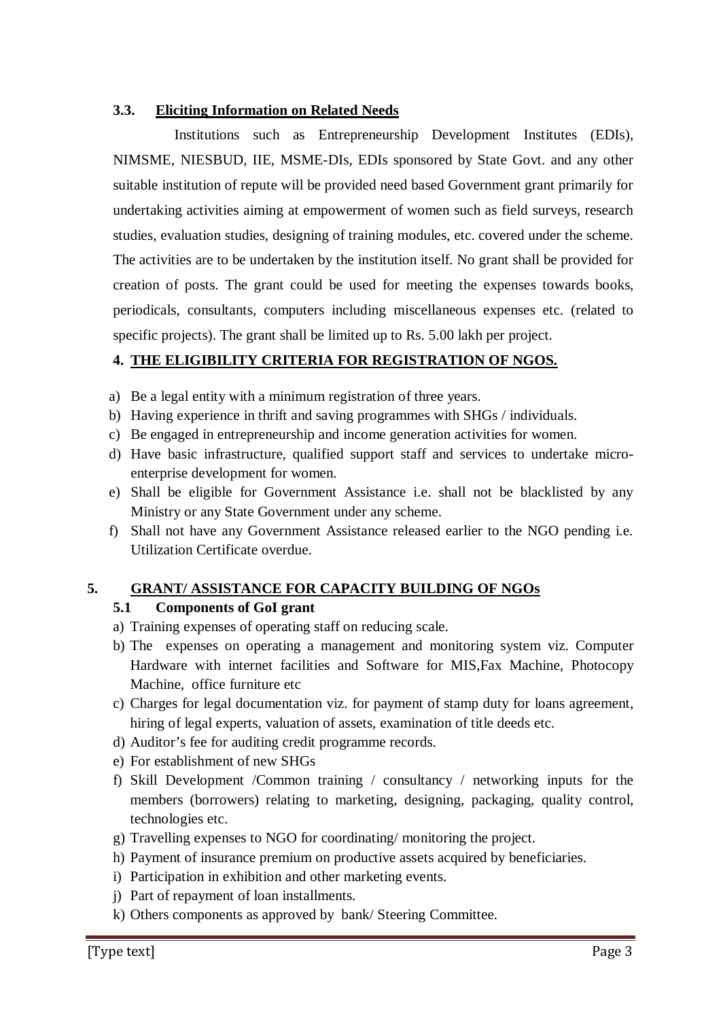## **3.3. Eliciting Information on Related Needs**

Institutions such as Entrepreneurship Development Institutes (EDIs), NIMSME, NIESBUD, IIE, MSME-DIs, EDIs sponsored by State Govt. and any other suitable institution of repute will be provided need based Government grant primarily for undertaking activities aiming at empowerment of women such as field surveys, research studies, evaluation studies, designing of training modules, etc. covered under the scheme. The activities are to be undertaken by the institution itself. No grant shall be provided for creation of posts. The grant could be used for meeting the expenses towards books, periodicals, consultants, computers including miscellaneous expenses etc. (related to specific projects). The grant shall be limited up to Rs. 5.00 lakh per project.

## **4. THE ELIGIBILITY CRITERIA FOR REGISTRATION OF NGOS.**

- a) Be a legal entity with a minimum registration of three years.
- b) Having experience in thrift and saving programmes with SHGs / individuals.
- c) Be engaged in entrepreneurship and income generation activities for women.
- d) Have basic infrastructure, qualified support staff and services to undertake microenterprise development for women.
- e) Shall be eligible for Government Assistance i.e. shall not be blacklisted by any Ministry or any State Government under any scheme.
- f) Shall not have any Government Assistance released earlier to the NGO pending i.e. Utilization Certificate overdue.

#### **5. GRANT/ ASSISTANCE FOR CAPACITY BUILDING OF NGOs**

#### **5.1 Components of GoI grant**

- a) Training expenses of operating staff on reducing scale.
- b) The expenses on operating a management and monitoring system viz. Computer Hardware with internet facilities and Software for MIS,Fax Machine, Photocopy Machine, office furniture etc
- c) Charges for legal documentation viz. for payment of stamp duty for loans agreement, hiring of legal experts, valuation of assets, examination of title deeds etc.
- d) Auditor's fee for auditing credit programme records.
- e) For establishment of new SHGs
- f) Skill Development /Common training / consultancy / networking inputs for the members (borrowers) relating to marketing, designing, packaging, quality control, technologies etc.
- g) Travelling expenses to NGO for coordinating/ monitoring the project.
- h) Payment of insurance premium on productive assets acquired by beneficiaries.
- i) Participation in exhibition and other marketing events.
- j) Part of repayment of loan installments.
- k) Others components as approved by bank/ Steering Committee.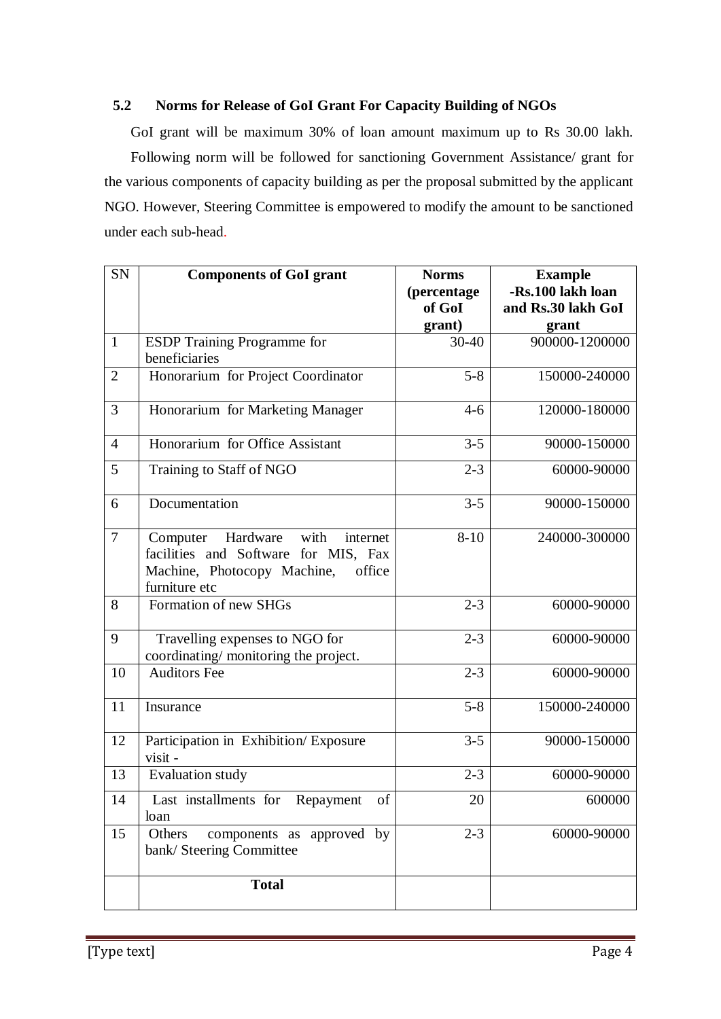## **5.2 Norms for Release of GoI Grant For Capacity Building of NGOs**

GoI grant will be maximum 30% of loan amount maximum up to Rs 30.00 lakh. Following norm will be followed for sanctioning Government Assistance/ grant for the various components of capacity building as per the proposal submitted by the applicant NGO. However, Steering Committee is empowered to modify the amount to be sanctioned under each sub-head.

| SN             | <b>Components of GoI grant</b>                                                                                                             | <b>Norms</b>    | <b>Example</b>          |
|----------------|--------------------------------------------------------------------------------------------------------------------------------------------|-----------------|-------------------------|
|                |                                                                                                                                            | (percentage     | -Rs.100 lakh loan       |
|                |                                                                                                                                            | of GoI          | and Rs.30 lakh GoI      |
| $\mathbf{1}$   |                                                                                                                                            | grant)<br>30-40 | grant<br>900000-1200000 |
|                | <b>ESDP</b> Training Programme for<br>beneficiaries                                                                                        |                 |                         |
| $\overline{2}$ | Honorarium for Project Coordinator                                                                                                         | $5 - 8$         | 150000-240000           |
| 3              | Honorarium for Marketing Manager                                                                                                           | $4 - 6$         | 120000-180000           |
| $\overline{4}$ | Honorarium for Office Assistant                                                                                                            | $3 - 5$         | 90000-150000            |
| 5              | Training to Staff of NGO                                                                                                                   | $2 - 3$         | 60000-90000             |
| 6              | Documentation                                                                                                                              | $3 - 5$         | 90000-150000            |
| $\overline{7}$ | with<br>Hardware<br>Computer<br>internet<br>facilities and Software for MIS, Fax<br>Machine, Photocopy Machine,<br>office<br>furniture etc | $8 - 10$        | 240000-300000           |
| 8              | Formation of new SHGs                                                                                                                      | $2 - 3$         | 60000-90000             |
| 9              | Travelling expenses to NGO for<br>coordinating/ monitoring the project.                                                                    | $2 - 3$         | 60000-90000             |
| 10             | <b>Auditors Fee</b>                                                                                                                        | $2 - 3$         | 60000-90000             |
| 11             | Insurance                                                                                                                                  | $5 - 8$         | 150000-240000           |
| 12             | Participation in Exhibition/Exposure<br>visit -                                                                                            | $3 - 5$         | 90000-150000            |
| 13             | <b>Evaluation study</b>                                                                                                                    | $2 - 3$         | 60000-90000             |
| 14             | Last installments for<br>of<br>Repayment<br>loan                                                                                           | 20              | 600000                  |
| 15             | Others<br>components as approved by<br>bank/ Steering Committee                                                                            | $2 - 3$         | 60000-90000             |
|                | <b>Total</b>                                                                                                                               |                 |                         |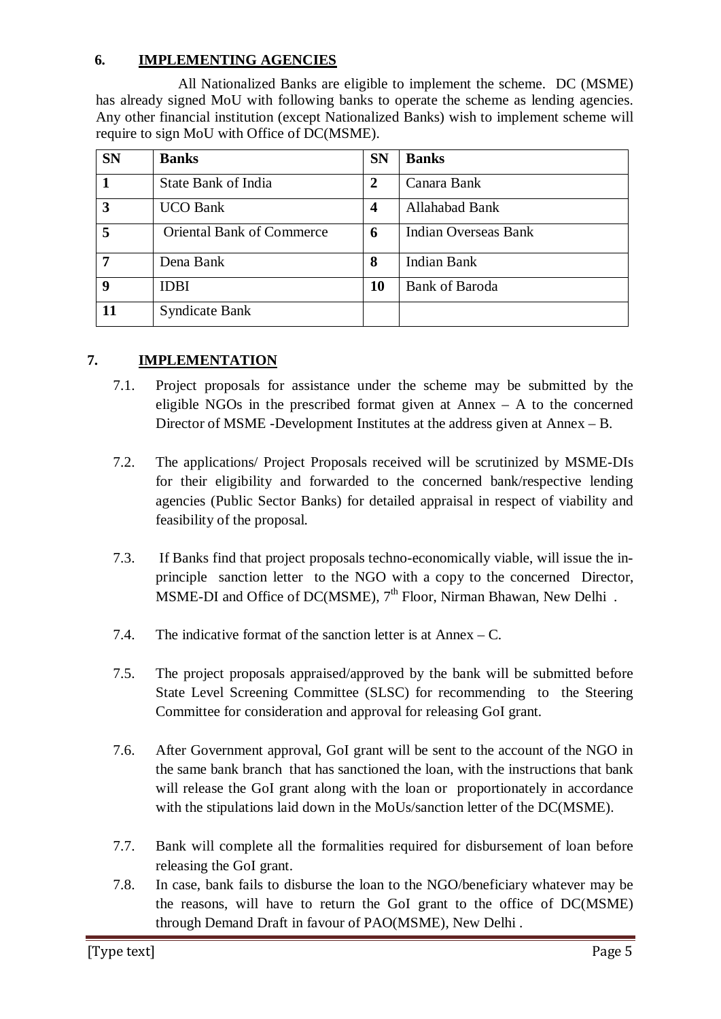# **6. IMPLEMENTING AGENCIES**

All Nationalized Banks are eligible to implement the scheme. DC (MSME) has already signed MoU with following banks to operate the scheme as lending agencies. Any other financial institution (except Nationalized Banks) wish to implement scheme will require to sign MoU with Office of DC(MSME).

| <b>SN</b> | <b>Banks</b>                     | <b>SN</b> | <b>Banks</b>          |
|-----------|----------------------------------|-----------|-----------------------|
|           | State Bank of India              | 2         | Canara Bank           |
| 3         | <b>UCO Bank</b>                  | 4         | Allahabad Bank        |
| 5         | <b>Oriental Bank of Commerce</b> | 6         | Indian Overseas Bank  |
| 7         | Dena Bank                        | 8         | <b>Indian Bank</b>    |
| 9         | <b>IDBI</b>                      | 10        | <b>Bank of Baroda</b> |
|           | <b>Syndicate Bank</b>            |           |                       |

# **7. IMPLEMENTATION**

- 7.1. Project proposals for assistance under the scheme may be submitted by the eligible NGOs in the prescribed format given at  $Annex - A$  to the concerned Director of MSME -Development Institutes at the address given at Annex – B.
- 7.2. The applications/ Project Proposals received will be scrutinized by MSME-DIs for their eligibility and forwarded to the concerned bank/respective lending agencies (Public Sector Banks) for detailed appraisal in respect of viability and feasibility of the proposal.
- 7.3. If Banks find that project proposals techno-economically viable, will issue the inprinciple sanction letter to the NGO with a copy to the concerned Director, MSME-DI and Office of DC(MSME),  $7<sup>th</sup>$  Floor, Nirman Bhawan, New Delhi.
- 7.4. The indicative format of the sanction letter is at Annex C.
- 7.5. The project proposals appraised/approved by the bank will be submitted before State Level Screening Committee (SLSC) for recommending to the Steering Committee for consideration and approval for releasing GoI grant.
- 7.6. After Government approval, GoI grant will be sent to the account of the NGO in the same bank branch that has sanctioned the loan, with the instructions that bank will release the GoI grant along with the loan or proportionately in accordance with the stipulations laid down in the MoUs/sanction letter of the DC(MSME).
- 7.7. Bank will complete all the formalities required for disbursement of loan before releasing the GoI grant.
- 7.8. In case, bank fails to disburse the loan to the NGO/beneficiary whatever may be the reasons, will have to return the GoI grant to the office of DC(MSME) through Demand Draft in favour of PAO(MSME), New Delhi .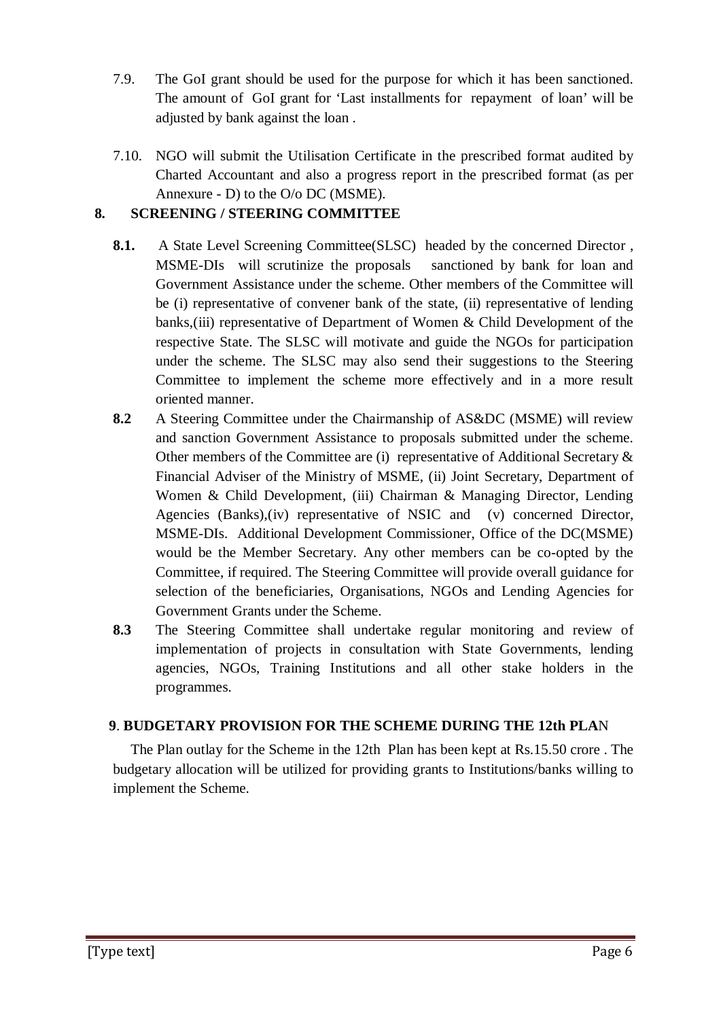- 7.9. The GoI grant should be used for the purpose for which it has been sanctioned. The amount of GoI grant for 'Last installments for repayment of loan' will be adjusted by bank against the loan .
- 7.10. NGO will submit the Utilisation Certificate in the prescribed format audited by Charted Accountant and also a progress report in the prescribed format (as per Annexure - D) to the O/o DC (MSME).

# **8. SCREENING / STEERING COMMITTEE**

- **8.1.** A State Level Screening Committee(SLSC) headed by the concerned Director , MSME-DIs will scrutinize the proposals sanctioned by bank for loan and Government Assistance under the scheme. Other members of the Committee will be (i) representative of convener bank of the state, (ii) representative of lending banks,(iii) representative of Department of Women & Child Development of the respective State. The SLSC will motivate and guide the NGOs for participation under the scheme. The SLSC may also send their suggestions to the Steering Committee to implement the scheme more effectively and in a more result oriented manner.
- **8.2** A Steering Committee under the Chairmanship of AS&DC (MSME) will review and sanction Government Assistance to proposals submitted under the scheme. Other members of the Committee are (i) representative of Additional Secretary & Financial Adviser of the Ministry of MSME, (ii) Joint Secretary, Department of Women & Child Development, (iii) Chairman & Managing Director, Lending Agencies (Banks),(iv) representative of NSIC and (v) concerned Director, MSME-DIs. Additional Development Commissioner, Office of the DC(MSME) would be the Member Secretary. Any other members can be co-opted by the Committee, if required. The Steering Committee will provide overall guidance for selection of the beneficiaries, Organisations, NGOs and Lending Agencies for Government Grants under the Scheme.
- **8.3** The Steering Committee shall undertake regular monitoring and review of implementation of projects in consultation with State Governments, lending agencies, NGOs, Training Institutions and all other stake holders in the programmes.

# **9**. **BUDGETARY PROVISION FOR THE SCHEME DURING THE 12th PLA**N

The Plan outlay for the Scheme in the 12th Plan has been kept at Rs.15.50 crore . The budgetary allocation will be utilized for providing grants to Institutions/banks willing to implement the Scheme.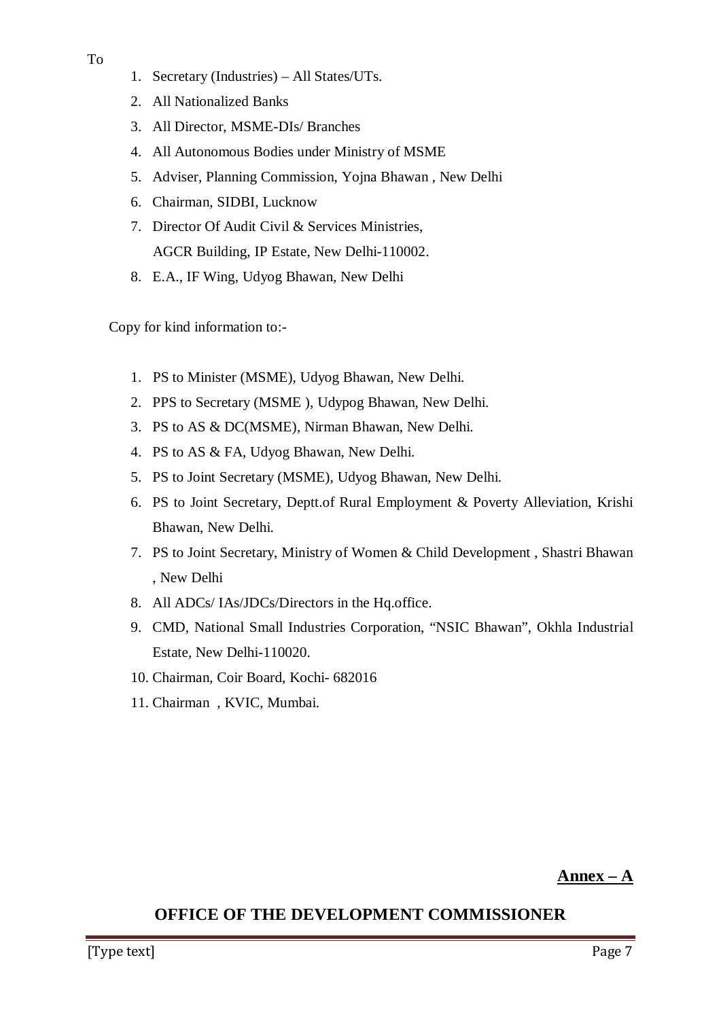- 1. Secretary (Industries) All States/UTs.
- 2. All Nationalized Banks
- 3. All Director, MSME-DIs/ Branches
- 4. All Autonomous Bodies under Ministry of MSME
- 5. Adviser, Planning Commission, Yojna Bhawan , New Delhi
- 6. Chairman, SIDBI, Lucknow
- 7. Director Of Audit Civil & Services Ministries, AGCR Building, IP Estate, New Delhi-110002.
- 8. E.A., IF Wing, Udyog Bhawan, New Delhi

Copy for kind information to:-

- 1. PS to Minister (MSME), Udyog Bhawan, New Delhi.
- 2. PPS to Secretary (MSME ), Udypog Bhawan, New Delhi.
- 3. PS to AS & DC(MSME), Nirman Bhawan, New Delhi.
- 4. PS to AS & FA, Udyog Bhawan, New Delhi.
- 5. PS to Joint Secretary (MSME), Udyog Bhawan, New Delhi.
- 6. PS to Joint Secretary, Deptt.of Rural Employment & Poverty Alleviation, Krishi Bhawan, New Delhi.
- 7. PS to Joint Secretary, Ministry of Women & Child Development , Shastri Bhawan , New Delhi
- 8. All ADCs/ IAs/JDCs/Directors in the Hq.office.
- 9. CMD, National Small Industries Corporation, "NSIC Bhawan", Okhla Industrial Estate, New Delhi-110020.
- 10. Chairman, Coir Board, Kochi- 682016
- 11. Chairman , KVIC, Mumbai.

# **OFFICE OF THE DEVELOPMENT COMMISSIONER**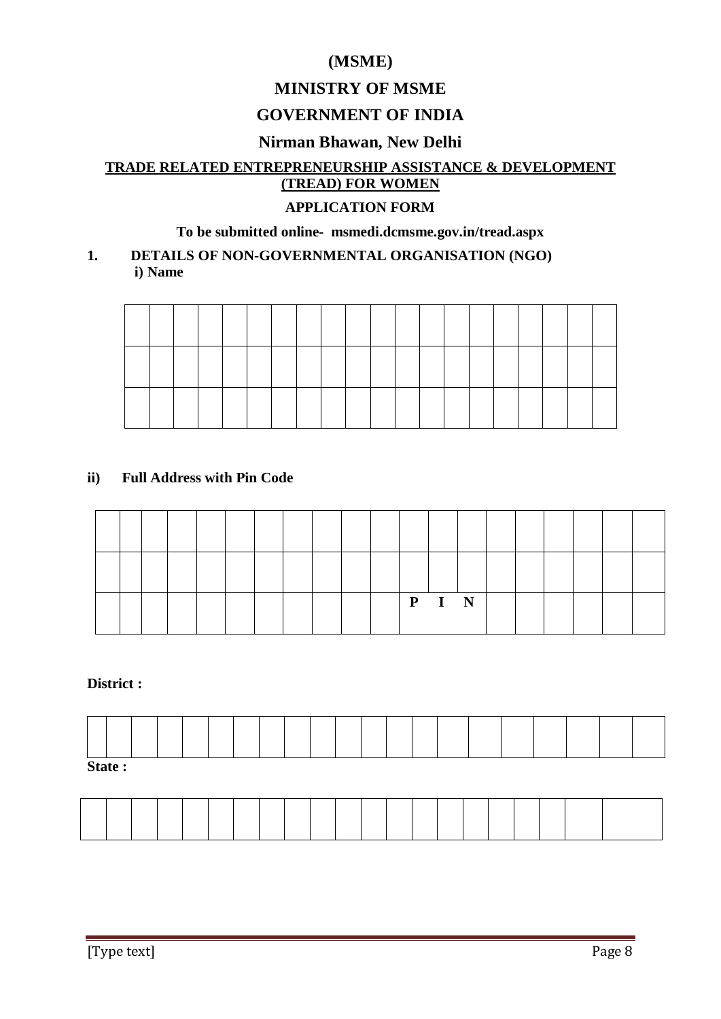# **(MSME)**

# **MINISTRY OF MSME**

# **GOVERNMENT OF INDIA**

# **Nirman Bhawan, New Delhi**

# **TRADE RELATED ENTREPRENEURSHIP ASSISTANCE & DEVELOPMENT (TREAD) FOR WOMEN**

#### **APPLICATION FORM**

## **To be submitted online- msmedi.dcmsme.gov.in/tread.aspx**

#### **1. DETAILS OF NON-GOVERNMENTAL ORGANISATION (NGO) i) Name**

# **ii) Full Address with Pin Code**

|  |  |  |  |  | P | T. | N |  |  |  |
|--|--|--|--|--|---|----|---|--|--|--|

#### **District :**

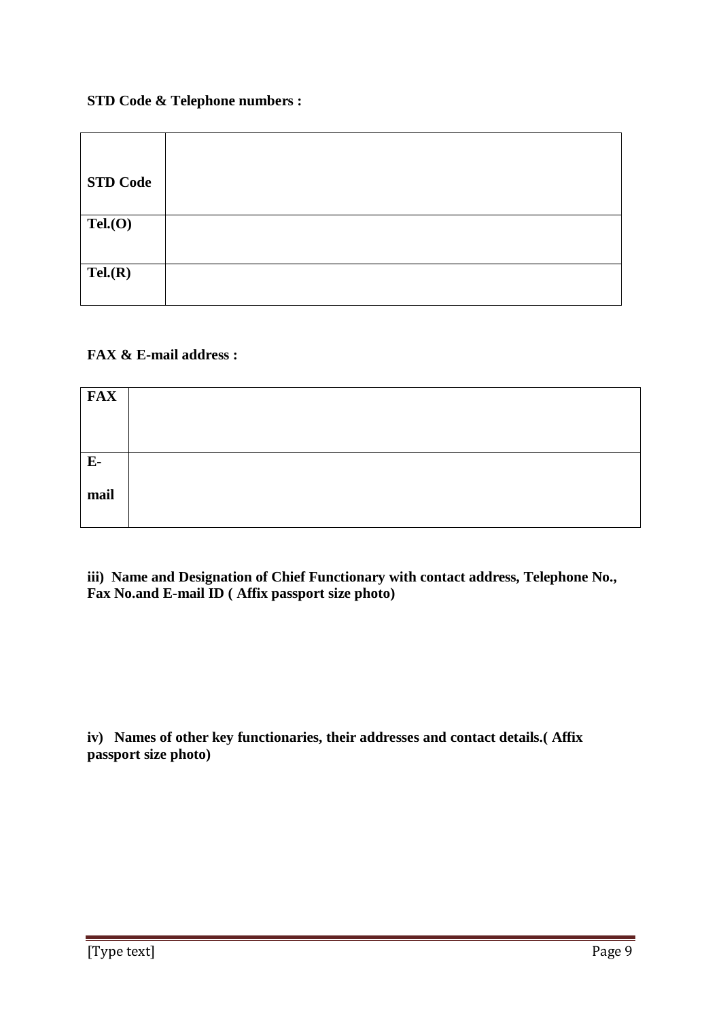#### **STD Code & Telephone numbers :**

| <b>STD Code</b> |  |
|-----------------|--|
| Tel(0)          |  |
| Tel(R)          |  |

## **FAX & E-mail address :**

| <b>FAX</b>   |  |
|--------------|--|
| $E-$<br>mail |  |

**iii) Name and Designation of Chief Functionary with contact address, Telephone No., Fax No.and E-mail ID ( Affix passport size photo)**

**iv) Names of other key functionaries, their addresses and contact details.( Affix passport size photo)**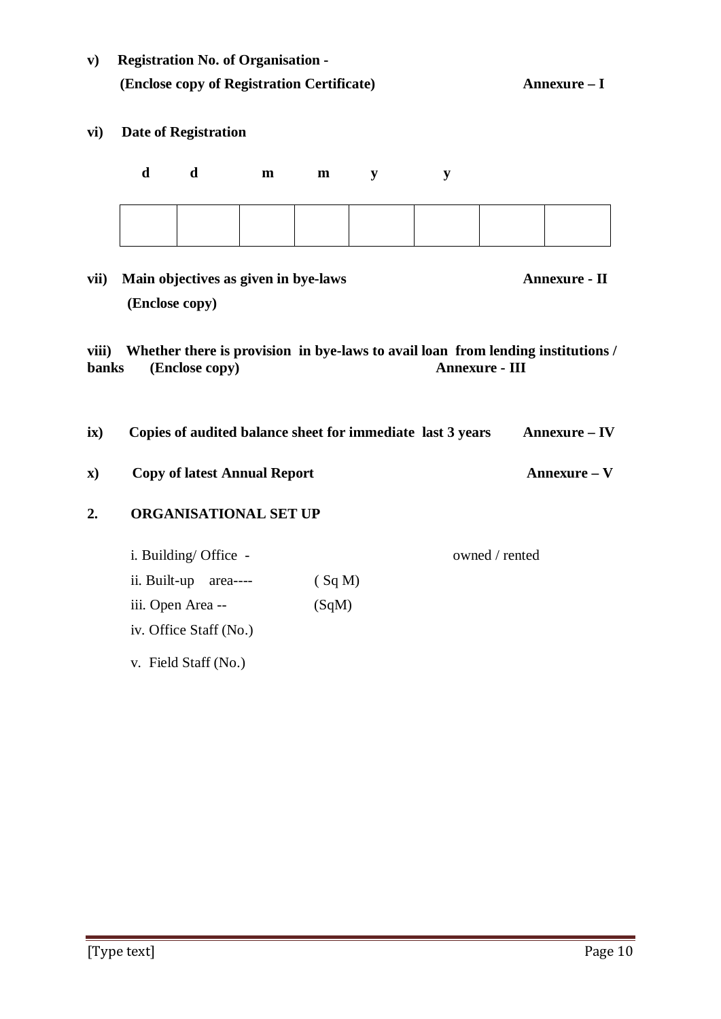| $\mathbf{v})$           |                | <b>Registration No. of Organisation -</b><br>(Enclose copy of Registration Certificate) |   |       | Annexure – I |           |                       |                                                                                  |
|-------------------------|----------------|-----------------------------------------------------------------------------------------|---|-------|--------------|-----------|-----------------------|----------------------------------------------------------------------------------|
| vi)                     |                | <b>Date of Registration</b>                                                             |   |       |              |           |                       |                                                                                  |
|                         | d              | d                                                                                       | m | m     | ${\bf y}$    | ${\bf y}$ |                       |                                                                                  |
|                         |                |                                                                                         |   |       |              |           |                       |                                                                                  |
| vii)                    | (Enclose copy) | Main objectives as given in bye-laws                                                    |   |       |              |           |                       | Annexure - II                                                                    |
| viii)<br><b>banks</b>   |                | (Enclose copy)                                                                          |   |       |              |           | <b>Annexure - III</b> | Whether there is provision in bye-laws to avail loan from lending institutions / |
| $\mathbf{i} \mathbf{x}$ |                |                                                                                         |   |       |              |           |                       | Copies of audited balance sheet for immediate last 3 years Annexure - IV         |
| $\mathbf{x}$            |                | <b>Copy of latest Annual Report</b>                                                     |   |       |              |           |                       | Annexure - V                                                                     |
| 2.                      |                | <b>ORGANISATIONAL SET UP</b>                                                            |   |       |              |           |                       |                                                                                  |
|                         |                | i. Building/ Office -                                                                   |   |       |              |           | owned / rented        |                                                                                  |
|                         |                | ii. Built-up area---- $(Sq M)$                                                          |   |       |              |           |                       |                                                                                  |
|                         |                | iii. Open Area --                                                                       |   | (SqM) |              |           |                       |                                                                                  |
|                         |                | iv. Office Staff (No.)                                                                  |   |       |              |           |                       |                                                                                  |
|                         |                | v. Field Staff (No.)                                                                    |   |       |              |           |                       |                                                                                  |
|                         |                |                                                                                         |   |       |              |           |                       |                                                                                  |
|                         |                |                                                                                         |   |       |              |           |                       |                                                                                  |
|                         |                |                                                                                         |   |       |              |           |                       |                                                                                  |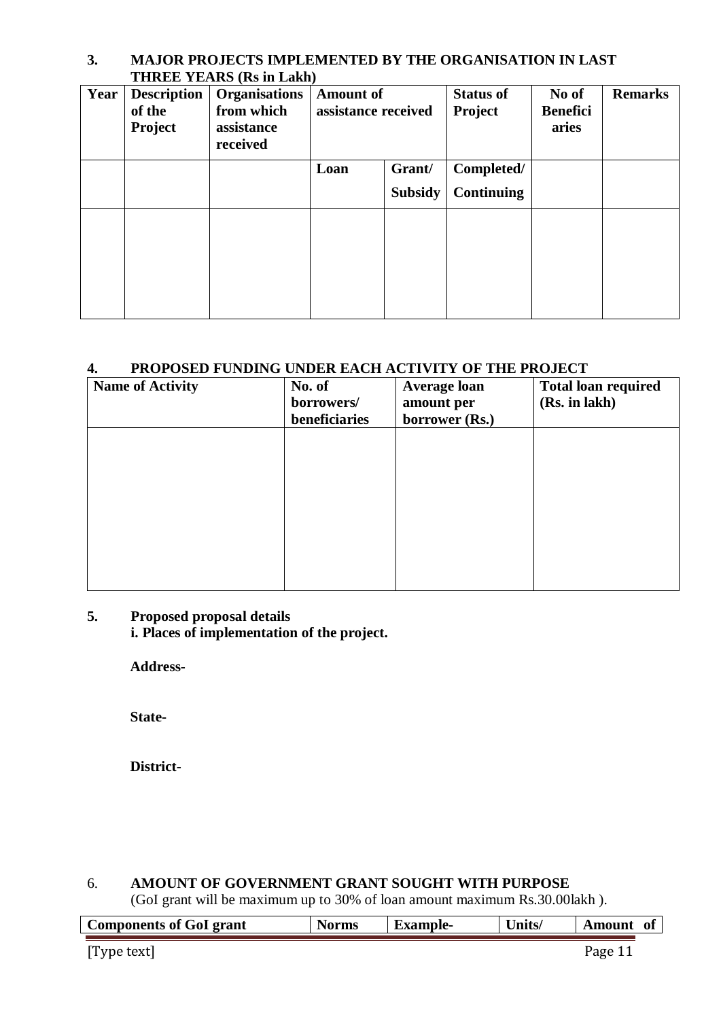## **3. MAJOR PROJECTS IMPLEMENTED BY THE ORGANISATION IN LAST THREE YEARS (Rs in Lakh)**

| Year | <b>Description</b><br>of the<br><b>Project</b> | <b>Organisations</b><br>from which<br>assistance<br>received | <b>Amount of</b><br>assistance received |  | <b>Status of</b><br>Project     | No of<br><b>Benefici</b><br>aries | <b>Remarks</b> |
|------|------------------------------------------------|--------------------------------------------------------------|-----------------------------------------|--|---------------------------------|-----------------------------------|----------------|
|      |                                                |                                                              | Grant/<br>Loan<br><b>Subsidy</b>        |  | Completed/<br><b>Continuing</b> |                                   |                |
|      |                                                |                                                              |                                         |  |                                 |                                   |                |

## **4. PROPOSED FUNDING UNDER EACH ACTIVITY OF THE PROJECT**

| <b>Name of Activity</b> | No. of<br>borrowers/ | <b>Average loan</b><br>amount per | <b>Total loan required</b><br>(Rs. in lakh) |
|-------------------------|----------------------|-----------------------------------|---------------------------------------------|
|                         | beneficiaries        | borrower (Rs.)                    |                                             |
|                         |                      |                                   |                                             |
|                         |                      |                                   |                                             |
|                         |                      |                                   |                                             |
|                         |                      |                                   |                                             |
|                         |                      |                                   |                                             |
|                         |                      |                                   |                                             |
|                         |                      |                                   |                                             |
|                         |                      |                                   |                                             |

# **5. Proposed proposal details**

**i. Places of implementation of the project.**

**Address-**

**State-**

**District-**

# 6. **AMOUNT OF GOVERNMENT GRANT SOUGHT WITH PURPOSE**

(GoI grant will be maximum up to 30% of loan amount maximum Rs.30.00lakh ).

| <b>Components of GoI grant</b> | <b>Norms</b> | <b>Example-</b> | Units/ | Amount  | of |
|--------------------------------|--------------|-----------------|--------|---------|----|
|                                |              |                 |        |         |    |
| [Type text]                    |              |                 |        | Page 11 |    |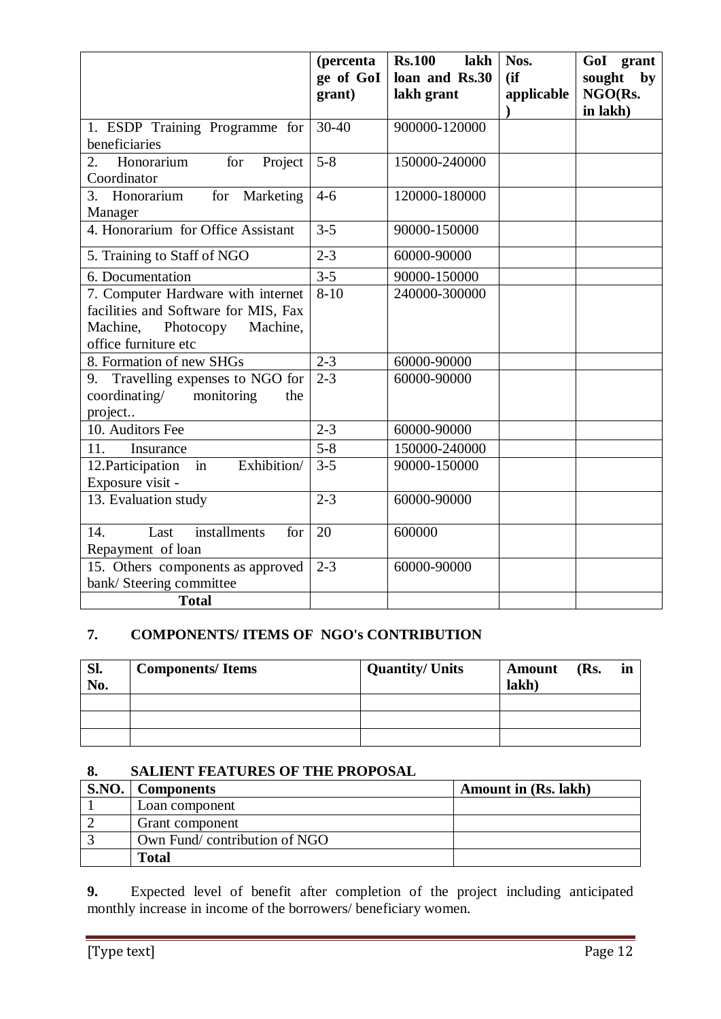|                                                                                                                                         | (percenta<br>ge of GoI<br>grant) | <b>Rs.100</b><br>lakh<br>loan and Rs.30<br>lakh grant | Nos.<br>(ii)<br>applicable | GoI grant<br>sought<br>by<br>NGO(Rs.<br>in lakh) |
|-----------------------------------------------------------------------------------------------------------------------------------------|----------------------------------|-------------------------------------------------------|----------------------------|--------------------------------------------------|
| 1. ESDP Training Programme for<br>beneficiaries                                                                                         | $30 - 40$                        | 900000-120000                                         |                            |                                                  |
| Honorarium<br>Project<br>for<br>2.<br>Coordinator                                                                                       | $5 - 8$                          | 150000-240000                                         |                            |                                                  |
| 3. Honorarium<br>for Marketing<br>Manager                                                                                               | $4 - 6$                          | 120000-180000                                         |                            |                                                  |
| 4. Honorarium for Office Assistant                                                                                                      | $3 - 5$                          | 90000-150000                                          |                            |                                                  |
| 5. Training to Staff of NGO                                                                                                             | $2 - 3$                          | 60000-90000                                           |                            |                                                  |
| 6. Documentation                                                                                                                        | $3 - 5$                          | 90000-150000                                          |                            |                                                  |
| 7. Computer Hardware with internet<br>facilities and Software for MIS, Fax<br>Machine,<br>Photocopy<br>Machine,<br>office furniture etc | $8-10$                           | 240000-300000                                         |                            |                                                  |
| 8. Formation of new SHGs                                                                                                                | $2 - 3$                          | 60000-90000                                           |                            |                                                  |
| 9. Travelling expenses to NGO for<br>coordinating/<br>monitoring<br>the<br>project                                                      | $2 - 3$                          | 60000-90000                                           |                            |                                                  |
| 10. Auditors Fee                                                                                                                        | $2 - 3$                          | 60000-90000                                           |                            |                                                  |
| 11.<br>Insurance                                                                                                                        | $5 - 8$                          | 150000-240000                                         |                            |                                                  |
| 12. Participation<br>Exhibition/<br>in<br>Exposure visit -                                                                              | $3 - 5$                          | 90000-150000                                          |                            |                                                  |
| 13. Evaluation study                                                                                                                    | $2 - 3$                          | 60000-90000                                           |                            |                                                  |
| installments<br>14.<br>Last<br>for<br>Repayment of loan                                                                                 | 20                               | 600000                                                |                            |                                                  |
| 15. Others components as approved<br>bank/ Steering committee                                                                           | $2 - 3$                          | 60000-90000                                           |                            |                                                  |
| <b>Total</b>                                                                                                                            |                                  |                                                       |                            |                                                  |

# **7. COMPONENTS/ ITEMS OF NGO's CONTRIBUTION**

| SI.<br>No. | <b>Components/Items</b> | <b>Quantity/ Units</b> | <b>Amount</b><br>lakh) | (Rs. | in |
|------------|-------------------------|------------------------|------------------------|------|----|
|            |                         |                        |                        |      |    |
|            |                         |                        |                        |      |    |
|            |                         |                        |                        |      |    |

# **8. SALIENT FEATURES OF THE PROPOSAL**

| <b>S.NO.</b> | <b>Components</b>            | <b>Amount in (Rs. lakh)</b> |
|--------------|------------------------------|-----------------------------|
|              | Loan component               |                             |
|              | Grant component              |                             |
|              | Own Fund/contribution of NGO |                             |
|              | Fotal                        |                             |

**9.** Expected level of benefit after completion of the project including anticipated monthly increase in income of the borrowers/ beneficiary women.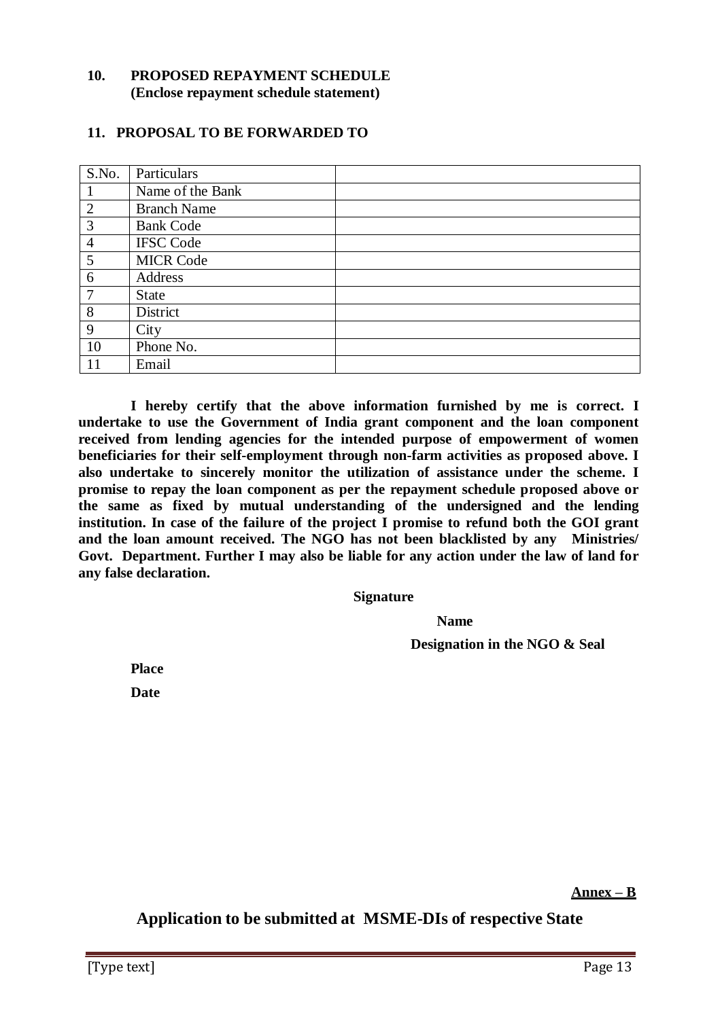#### **10. PROPOSED REPAYMENT SCHEDULE (Enclose repayment schedule statement)**

#### **11. PROPOSAL TO BE FORWARDED TO**

| S.No.          | Particulars        |
|----------------|--------------------|
|                | Name of the Bank   |
| $\overline{2}$ | <b>Branch Name</b> |
| 3              | <b>Bank Code</b>   |
| $\overline{4}$ | <b>IFSC Code</b>   |
| 5              | <b>MICR Code</b>   |
| 6              | Address            |
| $\overline{7}$ | <b>State</b>       |
| 8              | District           |
| 9              | City               |
| 10             | Phone No.          |
| 11             | Email              |

**I hereby certify that the above information furnished by me is correct. I undertake to use the Government of India grant component and the loan component received from lending agencies for the intended purpose of empowerment of women beneficiaries for their self-employment through non-farm activities as proposed above. I also undertake to sincerely monitor the utilization of assistance under the scheme. I promise to repay the loan component as per the repayment schedule proposed above or the same as fixed by mutual understanding of the undersigned and the lending institution. In case of the failure of the project I promise to refund both the GOI grant and the loan amount received. The NGO has not been blacklisted by any Ministries/ Govt. Department. Further I may also be liable for any action under the law of land for any false declaration.**

**Signature**

**Name**

**Designation in the NGO & Seal**

**Place Date**

**Annex – B**

**Application to be submitted at MSME-DIs of respective State**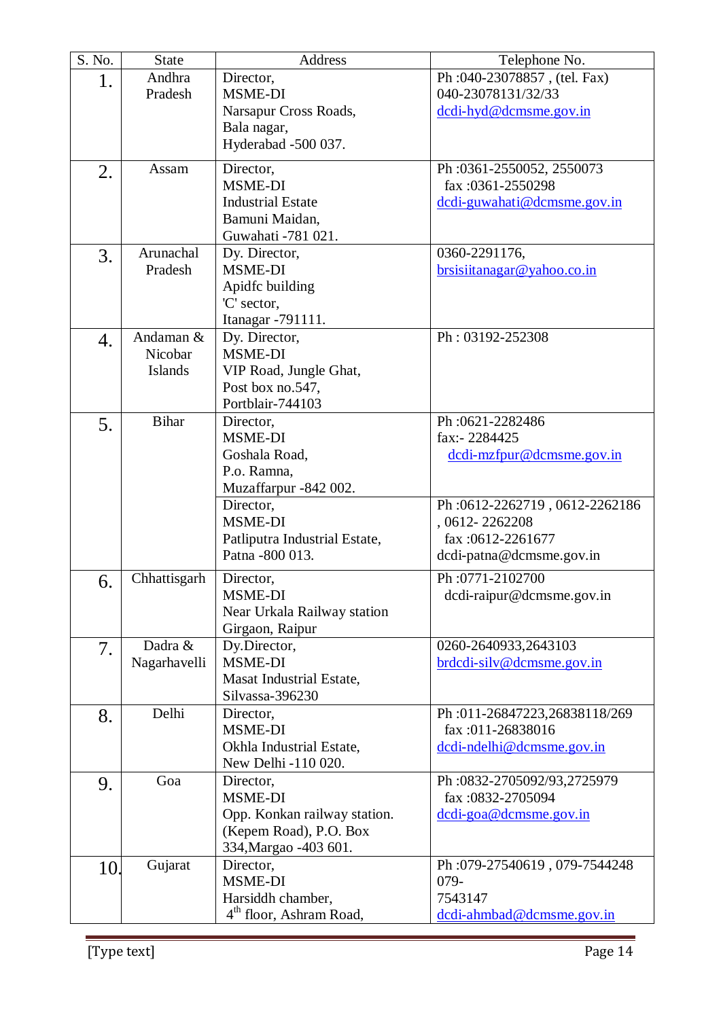| S. No. | <b>State</b> | Address                                           | Telephone No.                           |
|--------|--------------|---------------------------------------------------|-----------------------------------------|
| 1.     | Andhra       | Director,                                         | Ph: 040-23078857, (tel. Fax)            |
|        | Pradesh      | <b>MSME-DI</b>                                    | 040-23078131/32/33                      |
|        |              | Narsapur Cross Roads,                             | dcdi-hyd@dcmsme.gov.in                  |
|        |              | Bala nagar,                                       |                                         |
|        |              | Hyderabad -500 037.                               |                                         |
| 2.     | Assam        | Director,                                         | Ph:0361-2550052, 2550073                |
|        |              | <b>MSME-DI</b>                                    | fax:0361-2550298                        |
|        |              | <b>Industrial Estate</b>                          | dcdi-guwahati@dcmsme.gov.in             |
|        |              | Bamuni Maidan,                                    |                                         |
|        |              | Guwahati -781 021.                                |                                         |
| 3.     | Arunachal    | Dy. Director,                                     | 0360-2291176,                           |
|        | Pradesh      | <b>MSME-DI</b>                                    | brsisiitanagar@yahoo.co.in              |
|        |              | Apidfc building                                   |                                         |
|        |              | 'C' sector,                                       |                                         |
|        | Andaman &    | Itanagar - 791111.<br>Dy. Director,               | Ph: 03192-252308                        |
| 4.     | Nicobar      | <b>MSME-DI</b>                                    |                                         |
|        | Islands      | VIP Road, Jungle Ghat,                            |                                         |
|        |              | Post box no.547,                                  |                                         |
|        |              | Portblair-744103                                  |                                         |
| 5.     | <b>Bihar</b> | Director,                                         | Ph:0621-2282486                         |
|        |              | <b>MSME-DI</b>                                    | fax:-2284425                            |
|        |              | Goshala Road,                                     | dcdi-mzfpur@dcmsme.gov.in               |
|        |              | P.o. Ramna,                                       |                                         |
|        |              | Muzaffarpur -842 002.                             |                                         |
|        |              | Director,                                         | Ph:0612-2262719, 0612-2262186           |
|        |              | <b>MSME-DI</b>                                    | , 0612-2262208                          |
|        |              | Patliputra Industrial Estate,<br>Patna - 800 013. | fax:0612-2261677                        |
|        |              |                                                   | dcdi-patna@dcmsme.gov.in                |
| 6.     | Chhattisgarh | Director,                                         | Ph:0771-2102700                         |
|        |              | <b>MSME-DI</b>                                    | dcdi-raipur@dcmsme.gov.in               |
|        |              | Near Urkala Railway station                       |                                         |
|        | Dadra &      | Girgaon, Raipur<br>Dy.Director,                   | 0260-2640933,2643103                    |
| 7.     | Nagarhavelli | MSME-DI                                           | brdcdi-silv@dcmsme.gov.in               |
|        |              | Masat Industrial Estate,                          |                                         |
|        |              | Silvassa-396230                                   |                                         |
| 8.     | Delhi        | Director,                                         | Ph:011-26847223,26838118/269            |
|        |              | <b>MSME-DI</b>                                    | fax:011-26838016                        |
|        |              | Okhla Industrial Estate,                          | dcdi-ndelhi@dcmsme.gov.in               |
|        |              | New Delhi -110 020.                               |                                         |
| 9.     | Goa          | Director,                                         | Ph:0832-2705092/93,2725979              |
|        |              | <b>MSME-DI</b>                                    | fax:0832-2705094                        |
|        |              | Opp. Konkan railway station.                      | $dcdi-goa@dcmsme.gov.in$                |
|        |              | (Kepem Road), P.O. Box                            |                                         |
|        |              | 334, Margao - 403 601.                            |                                         |
| 10.    | Gujarat      | Director,<br>MSME-DI                              | Ph:079-27540619, 079-7544248<br>$079 -$ |
|        |              | Harsiddh chamber,                                 | 7543147                                 |
|        |              | 4 <sup>th</sup> floor, Ashram Road,               | dcdi-ahmbad@dcmsme.gov.in               |
|        |              |                                                   |                                         |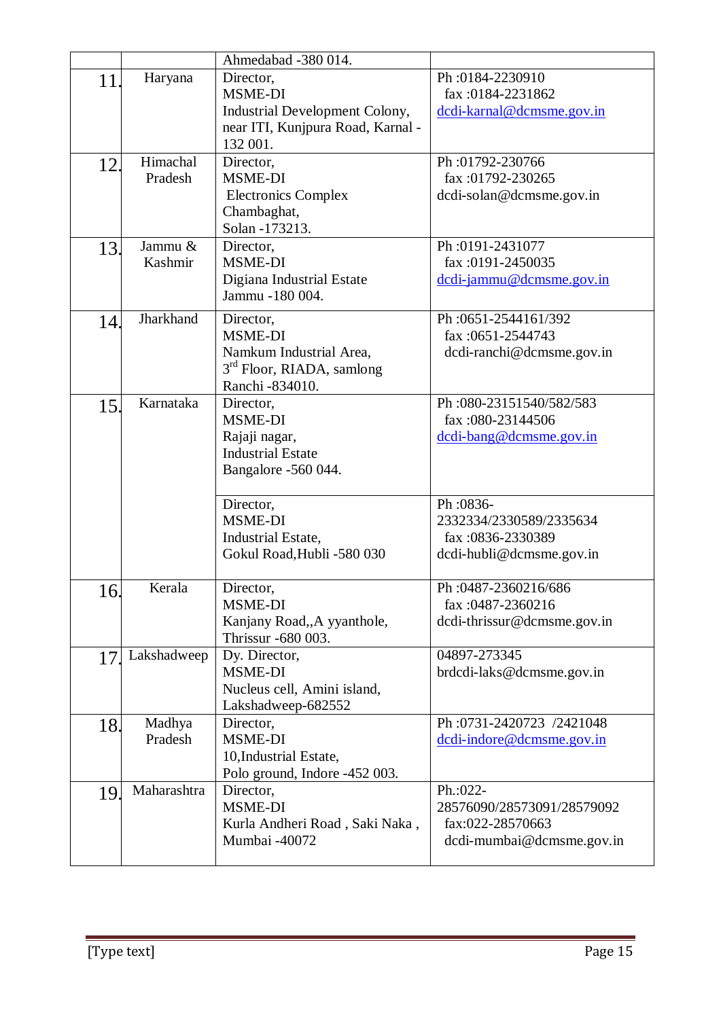|     |             | Ahmedabad -380 014.                             |                                          |
|-----|-------------|-------------------------------------------------|------------------------------------------|
| 11  | Haryana     | Director,                                       | Ph:0184-2230910                          |
|     |             | <b>MSME-DI</b>                                  | fax:0184-2231862                         |
|     |             | Industrial Development Colony,                  | dcdi-karnal@dcmsme.gov.in                |
|     |             | near ITI, Kunjpura Road, Karnal -               |                                          |
|     |             | 132 001.                                        |                                          |
| 12. | Himachal    | Director,                                       | Ph:01792-230766                          |
|     | Pradesh     | <b>MSME-DI</b>                                  | fax:01792-230265                         |
|     |             | <b>Electronics Complex</b>                      | dcdi-solan@dcmsme.gov.in                 |
|     |             | Chambaghat,<br>Solan -173213.                   |                                          |
| 13. | Jammu &     | Director,                                       | Ph:0191-2431077                          |
|     | Kashmir     | MSME-DI                                         | fax:0191-2450035                         |
|     |             | Digiana Industrial Estate                       | dcdi-jammu@dcmsme.gov.in                 |
|     |             | Jammu -180 004.                                 |                                          |
| 14. | Jharkhand   | Director,                                       | Ph: 0651-2544161/392                     |
|     |             | MSME-DI                                         | fax: 0651-2544743                        |
|     |             | Namkum Industrial Area,                         | dcdi-ranchi@dcmsme.gov.in                |
|     |             | 3 <sup>rd</sup> Floor, RIADA, samlong           |                                          |
|     |             | Ranchi - 834010.                                |                                          |
| 15. | Karnataka   | Director,                                       | Ph:080-23151540/582/583                  |
|     |             | MSME-DI                                         | fax:080-23144506                         |
|     |             | Rajaji nagar,                                   | dcdi-bang@dcmsme.gov.in                  |
|     |             | <b>Industrial Estate</b><br>Bangalore -560 044. |                                          |
|     |             |                                                 |                                          |
|     |             | Director,                                       | Ph:0836-                                 |
|     |             | <b>MSME-DI</b>                                  | 2332334/2330589/2335634                  |
|     |             | Industrial Estate,                              | fax:0836-2330389                         |
|     |             | Gokul Road, Hubli -580 030                      | dcdi-hubli@dcmsme.gov.in                 |
|     |             |                                                 |                                          |
| 16. | Kerala      | Director,<br>MSME-DI                            | Ph: 0487-2360216/686<br>fax:0487-2360216 |
|     |             | Kanjany Road,, A yyanthole,                     | dcdi-thrissur@dcmsme.gov.in              |
|     |             | Thrissur -680 003.                              |                                          |
| 17  | Lakshadweep | Dy. Director,                                   | 04897-273345                             |
|     |             | <b>MSME-DI</b>                                  | brdcdi-laks@dcmsme.gov.in                |
|     |             | Nucleus cell, Amini island,                     |                                          |
|     |             | Lakshadweep-682552                              |                                          |
| 18. | Madhya      | Director,                                       | Ph:0731-2420723 /2421048                 |
|     | Pradesh     | <b>MSME-DI</b>                                  | dcdi-indore@dcmsme.gov.in                |
|     |             | 10, Industrial Estate,                          |                                          |
|     | Maharashtra | Polo ground, Indore -452 003.<br>Director,      | Ph.:022-                                 |
| 19. |             | MSME-DI                                         | 28576090/28573091/28579092               |
|     |             | Kurla Andheri Road, Saki Naka,                  | fax:022-28570663                         |
|     |             | Mumbai -40072                                   | dcdi-mumbai@dcmsme.gov.in                |
|     |             |                                                 |                                          |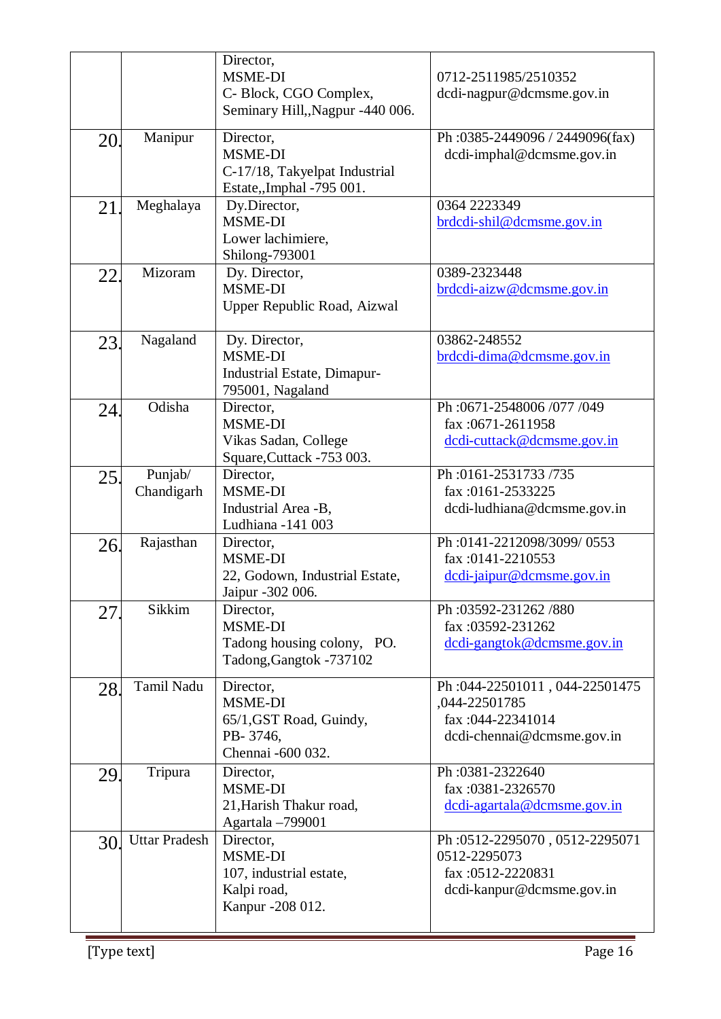|     |                       | Director,<br>MSME-DI<br>C- Block, CGO Complex,<br>Seminary Hill,, Nagpur -440 006.        | 0712-2511985/2510352<br>dcdi-nagpur@dcmsme.gov.in                                                 |
|-----|-----------------------|-------------------------------------------------------------------------------------------|---------------------------------------------------------------------------------------------------|
| 20. | Manipur               | Director,<br>MSME-DI<br>C-17/18, Takyelpat Industrial<br>Estate,,Imphal -795 001.         | Ph:0385-2449096/2449096(fax)<br>dcdi-imphal@dcmsme.gov.in                                         |
| 21  | Meghalaya             | Dy.Director,<br><b>MSME-DI</b><br>Lower lachimiere,<br>Shilong-793001                     | 0364 2223349<br>brdcdi-shil@dcmsme.gov.in                                                         |
| 22. | Mizoram               | Dy. Director,<br><b>MSME-DI</b><br>Upper Republic Road, Aizwal                            | 0389-2323448<br>brdcdi-aizw@dcmsme.gov.in                                                         |
| 23. | Nagaland              | Dy. Director,<br><b>MSME-DI</b><br><b>Industrial Estate, Dimapur-</b><br>795001, Nagaland | 03862-248552<br>brdcdi-dima@dcmsme.gov.in                                                         |
| 24. | Odisha                | Director,<br>MSME-DI<br>Vikas Sadan, College<br>Square, Cuttack -753 003.                 | Ph: 0671-2548006/077/049<br>fax:0671-2611958<br>dedi-cuttack@dcmsme.gov.in                        |
| 25. | Punjab/<br>Chandigarh | Director,<br><b>MSME-DI</b><br>Industrial Area -B,<br>Ludhiana -141 003                   | Ph:0161-2531733/735<br>fax:0161-2533225<br>dcdi-ludhiana@dcmsme.gov.in                            |
| 26. | Rajasthan             | Director,<br>MSME-DI<br>22, Godown, Industrial Estate,<br>Jaipur -302 006.                | Ph:0141-2212098/3099/0553<br>fax:0141-2210553<br>dcdi-jaipur@dcmsme.gov.in                        |
| 27  | Sikkim                | Director,<br>MSME-DI<br>Tadong housing colony, PO.<br>Tadong, Gangtok -737102             | Ph:03592-231262/880<br>fax:03592-231262<br>dcdi-gangtok@dcmsme.gov.in                             |
| 28. | Tamil Nadu            | Director,<br><b>MSME-DI</b><br>65/1, GST Road, Guindy,<br>PB-3746,<br>Chennai -600 032.   | Ph:044-22501011, 044-22501475<br>,044-22501785<br>fax: 044-22341014<br>dcdi-chennai@dcmsme.gov.in |
| 29. | Tripura               | Director,<br><b>MSME-DI</b><br>21, Harish Thakur road,<br>Agartala -799001                | Ph:0381-2322640<br>fax:0381-2326570<br>dedi-agartala@dcmsme.gov.in                                |
| 30. | <b>Uttar Pradesh</b>  | Director,<br><b>MSME-DI</b><br>107, industrial estate,<br>Kalpi road,<br>Kanpur -208 012. | Ph:0512-2295070, 0512-2295071<br>0512-2295073<br>fax:0512-2220831<br>dcdi-kanpur@dcmsme.gov.in    |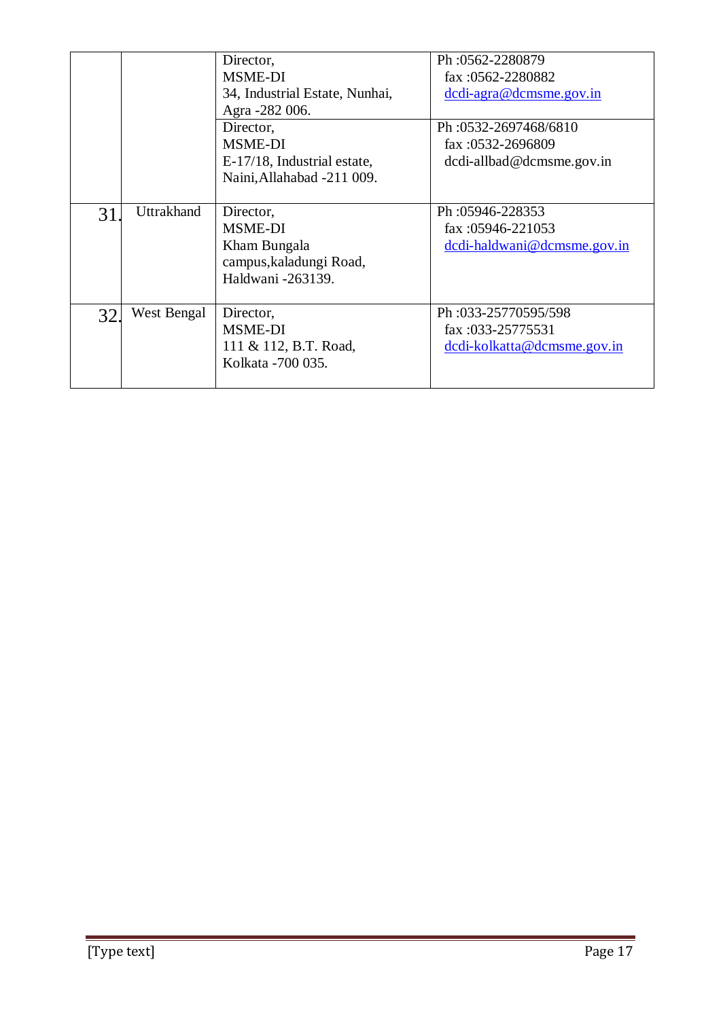|     |             | Director,<br><b>MSME-DI</b><br>34, Industrial Estate, Nunhai,<br>Agra -282 006.             | Ph: 0562-2280879<br>fax: $0562 - 2280882$<br>dcdi-agra@dcmsme.gov.in    |
|-----|-------------|---------------------------------------------------------------------------------------------|-------------------------------------------------------------------------|
|     |             | Director,<br><b>MSME-DI</b><br>E-17/18, Industrial estate,<br>Naini, Allahabad -211 009.    | Ph: 0532-2697468/6810<br>fax: 0532-2696809<br>dcdi-allbad@dcmsme.gov.in |
| 31  | Uttrakhand  | Director,<br><b>MSME-DI</b><br>Kham Bungala<br>campus, kaladungi Road,<br>Haldwani -263139. | Ph:05946-228353<br>fax: $05946 - 221053$<br>dcdi-haldwani@dcmsme.gov.in |
| 32. | West Bengal | Director,<br><b>MSME-DI</b><br>111 & 112, B.T. Road,<br>Kolkata - 700 035.                  | Ph:033-25770595/598<br>fax:033-25775531<br>dcdi-kolkatta@dcmsme.gov.in  |